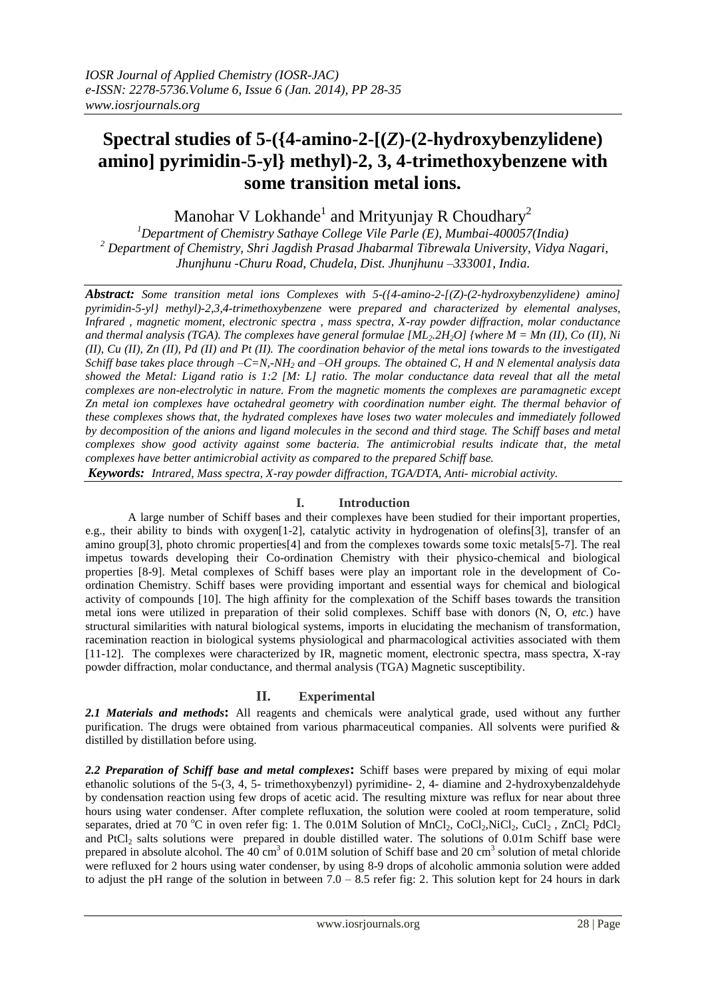# **Spectral studies of 5-({4-amino-2-[(***Z***)-(2-hydroxybenzylidene) amino] pyrimidin-5-yl} methyl)-2, 3, 4-trimethoxybenzene with some transition metal ions.**

Manohar V Lokhande $^1$  and Mrityunjay R Choudhary $^2$ 

*<sup>1</sup>Department of Chemistry Sathaye College Vile Parle (E), Mumbai-400057(India) <sup>2</sup> Department of Chemistry, Shri Jagdish Prasad Jhabarmal Tibrewala University, Vidya Nagari, Jhunjhunu -Churu Road, Chudela, Dist. Jhunjhunu –333001, India*.

*Abstract: Some transition metal ions Complexes with 5-({4-amino-2-[(Z)-(2-hydroxybenzylidene) amino] pyrimidin-5-yl} methyl)-2,3,4-trimethoxybenzene* were *prepared and characterized by elemental analyses, Infrared , magnetic moment, electronic spectra , mass spectra, X-ray powder diffraction, molar conductance and thermal analysis (TGA). The complexes have general formulae [ML2.2H2O] {where M = Mn (II), Co (II), Ni (II), Cu (II), Zn (II), Pd (II) and Pt (II). The coordination behavior of the metal ions towards to the investigated Schiff base takes place through –C=N,-NH<sup>2</sup> and –OH groups. The obtained C, H and N elemental analysis data showed the Metal: Ligand ratio is 1:2 [M: L] ratio. The molar conductance data reveal that all the metal complexes are non-electrolytic in nature. From the magnetic moments the complexes are paramagnetic except Zn metal ion complexes have octahedral geometry with coordination number eight. The thermal behavior of these complexes shows that, the hydrated complexes have loses two water molecules and immediately followed by decomposition of the anions and ligand molecules in the second and third stage. The Schiff bases and metal complexes show good activity against some bacteria. The antimicrobial results indicate that, the metal complexes have better antimicrobial activity as compared to the prepared Schiff base.* 

*Keywords: Intrared, Mass spectra, X-ray powder diffraction, TGA/DTA, Anti- microbial activity.*

## **I. Introduction**

A large number of Schiff bases and their complexes have been studied for their important properties, e.g., their ability to binds with oxygen[1-2], catalytic activity in hydrogenation of olefins[3], transfer of an amino group[3], photo chromic properties[4] and from the complexes towards some toxic metals[5-7]. The real impetus towards developing their Co-ordination Chemistry with their physico-chemical and biological properties [8-9]. Metal complexes of Schiff bases were play an important role in the development of Coordination Chemistry. Schiff bases were providing important and essential ways for chemical and biological activity of compounds [10]. The high affinity for the complexation of the Schiff bases towards the transition metal ions were utilized in preparation of their solid complexes. Schiff base with donors (N, O, *etc.*) have structural similarities with natural biological systems, imports in elucidating the mechanism of transformation, racemination reaction in biological systems physiological and pharmacological activities associated with them [11-12]. The complexes were characterized by IR, magnetic moment, electronic spectra, mass spectra, X-ray powder diffraction, molar conductance, and thermal analysis (TGA) Magnetic susceptibility.

# **II. Experimental**

*2.1 Materials and methods***:** All reagents and chemicals were analytical grade, used without any further purification. The drugs were obtained from various pharmaceutical companies. All solvents were purified  $\&$ distilled by distillation before using.

*2.2 Preparation of Schiff base and metal complexes***:** Schiff bases were prepared by mixing of equi molar ethanolic solutions of the 5-(3, 4, 5- trimethoxybenzyl) pyrimidine- 2, 4- diamine and 2-hydroxybenzaldehyde by condensation reaction using few drops of acetic acid. The resulting mixture was reflux for near about three hours using water condenser. After complete refluxation, the solution were cooled at room temperature, solid separates, dried at 70 °C in oven refer fig: 1. The 0.01M Solution of MnCl<sub>2</sub>, CoCl<sub>2</sub>,NiCl<sub>2</sub>, CuCl<sub>2</sub>, ZnCl<sub>2</sub> PdCl<sub>2</sub> and PtCl<sub>2</sub> salts solutions were prepared in double distilled water. The solutions of 0.01m Schiff base were prepared in absolute alcohol. The  $40 \text{ cm}^3$  of 0.01M solution of Schiff base and 20 cm<sup>3</sup> solution of metal chloride were refluxed for 2 hours using water condenser, by using 8-9 drops of alcoholic ammonia solution were added to adjust the pH range of the solution in between  $7.0 - 8.5$  refer fig: 2. This solution kept for 24 hours in dark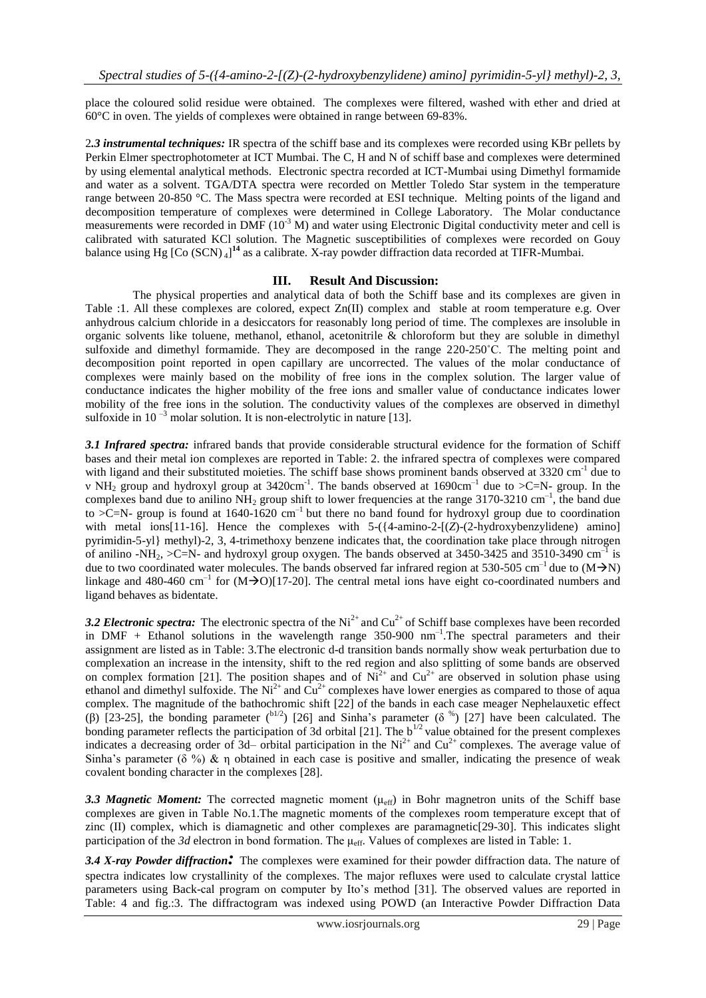place the coloured solid residue were obtained. The complexes were filtered, washed with ether and dried at 60°C in oven. The yields of complexes were obtained in range between 69-83%.

2*.3 instrumental techniques:* IR spectra of the schiff base and its complexes were recorded using KBr pellets by Perkin Elmer spectrophotometer at ICT Mumbai. The C, H and N of schiff base and complexes were determined by using elemental analytical methods. Electronic spectra recorded at ICT-Mumbai using Dimethyl formamide and water as a solvent. TGA/DTA spectra were recorded on Mettler Toledo Star system in the temperature range between 20-850 °C. The Mass spectra were recorded at ESI technique. Melting points of the ligand and decomposition temperature of complexes were determined in College Laboratory. The Molar conductance measurements were recorded in DMF (10<sup>-3</sup> M) and water using Electronic Digital conductivity meter and cell is calibrated with saturated KCl solution. The Magnetic susceptibilities of complexes were recorded on Gouy balance using Hg [Co (SCN)<sub>4</sub>]<sup>14</sup> as a calibrate. X-ray powder diffraction data recorded at TIFR-Mumbai.

#### **III. Result And Discussion:**

The physical properties and analytical data of both the Schiff base and its complexes are given in Table :1. All these complexes are colored, expect Zn(II) complex and stable at room temperature e.g. Over anhydrous calcium chloride in a desiccators for reasonably long period of time. The complexes are insoluble in organic solvents like toluene, methanol, ethanol, acetonitrile & chloroform but they are soluble in dimethyl sulfoxide and dimethyl formamide. They are decomposed in the range 220-250˚C. The melting point and decomposition point reported in open capillary are uncorrected. The values of the molar conductance of complexes were mainly based on the mobility of free ions in the complex solution. The larger value of conductance indicates the higher mobility of the free ions and smaller value of conductance indicates lower mobility of the free ions in the solution. The conductivity values of the complexes are observed in dimethyl sulfoxide in 10<sup> $-3$ </sup> molar solution. It is non-electrolytic in nature [13].

*3.1 Infrared spectra:* infrared bands that provide considerable structural evidence for the formation of Schiff bases and their metal ion complexes are reported in Table: 2. the infrared spectra of complexes were compared with ligand and their substituted moieties. The schiff base shows prominent bands observed at 3320 cm<sup>-1</sup> due to v NH<sub>2</sub> group and hydroxyl group at 3420cm<sup>-1</sup>. The bands observed at 1690cm<sup>-1</sup> due to  $\geq$ C=N- group. In the complexes band due to anilino  $NH_2$  group shift to lower frequencies at the range 3170-3210 cm<sup>-1</sup>, the band due to  $\geq$ C=N- group is found at 1640-1620 cm<sup>-1</sup> but there no band found for hydroxyl group due to coordination with metal ions[11-16]. Hence the complexes with 5-({4-amino-2-[(*Z*)-(2-hydroxybenzylidene) amino] pyrimidin-5-yl} methyl)-2, 3, 4-trimethoxy benzene indicates that, the coordination take place through nitrogen of anilino -NH<sub>2</sub>, >C=N- and hydroxyl group oxygen. The bands observed at 3450-3425 and 3510-3490 cm<sup>-1</sup> is due to two coordinated water molecules. The bands observed far infrared region at 530-505 cm<sup>-1</sup> due to  $(M\rightarrow N)$ linkage and 480-460 cm<sup>-1</sup> for  $(M\rightarrow O)[17-20]$ . The central metal ions have eight co-coordinated numbers and ligand behaves as bidentate.

3.2 Electronic spectra: The electronic spectra of the  $Ni^{2+}$  and  $Cu^{2+}$  of Schiff base complexes have been recorded in DMF + Ethanol solutions in the wavelength range  $350-900$  nm<sup>-1</sup>. The spectral parameters and their assignment are listed as in Table: 3.The electronic d-d transition bands normally show weak perturbation due to complexation an increase in the intensity, shift to the red region and also splitting of some bands are observed on complex formation [21]. The position shapes and of  $Ni<sup>2+</sup>$  and  $Cu<sup>2+</sup>$  are observed in solution phase using ethanol and dimethyl sulfoxide. The  $Ni^{2+}$  and  $Cu^{2+}$  complexes have lower energies as compared to those of aqua complex. The magnitude of the bathochromic shift [22] of the bands in each case meager Nephelauxetic effect (β) [23-25], the bonding parameter (b<sup>1/2</sup>) [26] and Sinha's parameter (δ<sup>%</sup>) [27] have been calculated. The bonding parameter reflects the participation of 3d orbital [21]. The  $b^{1/2}$  value obtained for the present complexes indicates a decreasing order of 3d– orbital participation in the Ni<sup>2+</sup> and Cu<sup>2+</sup> complexes. The average value of Sinha's parameter ( $\delta$  %) & η obtained in each case is positive and smaller, indicating the presence of weak covalent bonding character in the complexes [28].

**3.3 Magnetic Moment:** The corrected magnetic moment ( $\mu_{\text{eff}}$ ) in Bohr magnetron units of the Schiff base complexes are given in Table No.1.The magnetic moments of the complexes room temperature except that of zinc (II) complex, which is diamagnetic and other complexes are paramagnetic[29-30]. This indicates slight participation of the *3d* electron in bond formation. The μeff. Values of complexes are listed in Table: 1.

*3.4 X-ray Powder diffraction:* The complexes were examined for their powder diffraction data. The nature of spectra indicates low crystallinity of the complexes. The major refluxes were used to calculate crystal lattice parameters using Back-cal program on computer by Ito's method [31]. The observed values are reported in Table: 4 and fig.:3. The diffractogram was indexed using POWD (an Interactive Powder Diffraction Data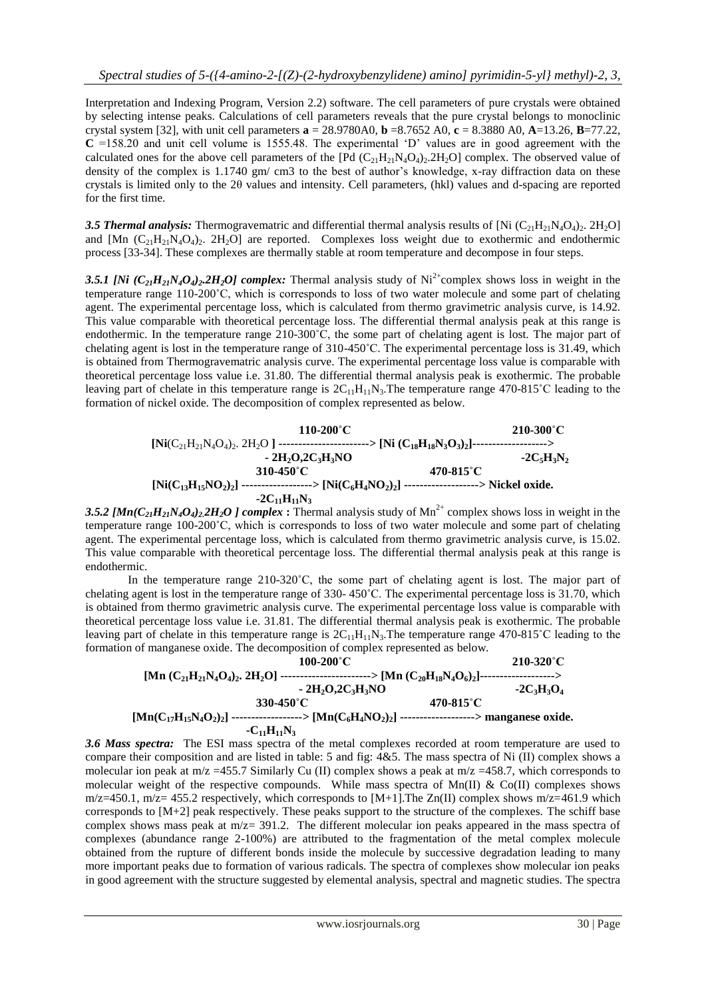Interpretation and Indexing Program, Version 2.2) software. The cell parameters of pure crystals were obtained by selecting intense peaks. Calculations of cell parameters reveals that the pure crystal belongs to monoclinic crystal system [32], with unit cell parameters  $\mathbf{a} = 28.9780 \text{ A}0$ ,  $\mathbf{b} = 8.7652 \text{ A}0$ ,  $\mathbf{c} = 8.3880 \text{ A}0$ ,  $\mathbf{A} = 13.26$ ,  $\mathbf{B} = 77.22$ , **C** =158.20 and unit cell volume is 1555.48. The experimental 'D' values are in good agreement with the calculated ones for the above cell parameters of the  $[Pd (C_{21}H_{21}N_4O_{4})_2.2H_2O]$  complex. The observed value of density of the complex is 1.1740 gm/ cm3 to the best of author's knowledge, x-ray diffraction data on these crystals is limited only to the 2θ values and intensity. Cell parameters, (hkl) values and d-spacing are reported for the first time.

3.5 Thermal analysis: Thermogravematric and differential thermal analysis results of [Ni  $(C_{21}H_{21}N_4O_4)_2$ . 2H<sub>2</sub>O] and  $[Mn (C_{21}H_{21}N_4O_4)_2$ .  $2H_2O]$  are reported. Complexes loss weight due to exothermic and endothermic process [33-34]. These complexes are thermally stable at room temperature and decompose in four steps.

3.5.1 [Ni  $(C_{21}H_{21}N_4O_4)_2$ .2H<sub>2</sub>O] complex: Thermal analysis study of Ni<sup>2+</sup>complex shows loss in weight in the temperature range 110-200˚C, which is corresponds to loss of two water molecule and some part of chelating agent. The experimental percentage loss, which is calculated from thermo gravimetric analysis curve, is 14.92. This value comparable with theoretical percentage loss. The differential thermal analysis peak at this range is endothermic. In the temperature range 210-300˚C, the some part of chelating agent is lost. The major part of chelating agent is lost in the temperature range of 310-450˚C. The experimental percentage loss is 31.49, which is obtained from Thermogravematric analysis curve. The experimental percentage loss value is comparable with theoretical percentage loss value i.e. 31.80. The differential thermal analysis peak is exothermic. The probable leaving part of chelate in this temperature range is  $2C_{11}H_{11}N_3$ . The temperature range 470-815°C leading to the formation of nickel oxide. The decomposition of complex represented as below.



3.5.2  $[Min(C_{21}H_{21}N_4O_4)_22H_2O]$  *complex* : Thermal analysis study of Mn<sup>2+</sup> complex shows loss in weight in the temperature range 100-200˚C, which is corresponds to loss of two water molecule and some part of chelating agent. The experimental percentage loss, which is calculated from thermo gravimetric analysis curve, is 15.02. This value comparable with theoretical percentage loss. The differential thermal analysis peak at this range is endothermic.

In the temperature range 210-320°C, the some part of chelating agent is lost. The major part of chelating agent is lost in the temperature range of 330- 450˚C. The experimental percentage loss is 31.70, which is obtained from thermo gravimetric analysis curve. The experimental percentage loss value is comparable with theoretical percentage loss value i.e. 31.81. The differential thermal analysis peak is exothermic. The probable leaving part of chelate in this temperature range is  $2C_{11}H_{11}N_3$ . The temperature range 470-815°C leading to the formation of manganese oxide. The decomposition of complex represented as below.

$$
100-200^{\circ}C
$$
  
\n[Mn (C<sub>21</sub>H<sub>21</sub>N<sub>4</sub>O<sub>4</sub>)<sub>2</sub>, 2H<sub>2</sub>O] 100-200^{\circ}C  
\n-2H<sub>2</sub>O<sub>2</sub>C<sub>3</sub>H<sub>3</sub>NO  
\n330-450^{\circ}C  
\n[Mn(C<sub>17</sub>H<sub>15</sub>N<sub>4</sub>O<sub>2</sub>)<sub>2</sub>] 470-815^{\circ}C  
\n-2C<sub>3</sub>H<sub>3</sub>O<sub>4</sub>  
\n-2H<sub>15</sub>N<sub>4</sub>O<sub>2</sub>)<sub>2</sub>]  
\n-2H<sub>11</sub>N<sub>3</sub>  
\n
$$
-2H2C3H3NO\n470-815^{\circ}C\n470-815^{\circ}C\n2H203H3O4\n470-815^{\circ}C\n2H203H3O4\n470-815^{\circ}C\n2H203H3O4\n470-815^{\circ}C\n2H203H3O4\n470-815^{\circ}C\n2H203H3O4\n470-815^{\circ}C\n2H203H3O4\n470-815^{\circ}C\n2H203H3O4\n470-815^{\circ}C\n2H203H3O4\n470-815^{\circ}C\n2H203H3O4\n470-815^{\circ}C\n470-815^{\circ}C\n470-815
$$

*3.6 Mass spectra:* The ESI mass spectra of the metal complexes recorded at room temperature are used to compare their composition and are listed in table: 5 and fig: 4&5. The mass spectra of Ni (II) complex shows a molecular ion peak at  $m/z = 455.7$  Similarly Cu (II) complex shows a peak at  $m/z = 458.7$ , which corresponds to molecular weight of the respective compounds. While mass spectra of Mn(II) & Co(II) complexes shows  $m/z=450.1$ ,  $m/z=455.2$  respectively, which corresponds to [M+1]. The Zn(II) complex shows  $m/z=461.9$  which corresponds to [M+2] peak respectively. These peaks support to the structure of the complexes. The schiff base complex shows mass peak at  $m/z = 391.2$ . The different molecular ion peaks appeared in the mass spectra of complexes (abundance range 2-100%) are attributed to the fragmentation of the metal complex molecule obtained from the rupture of different bonds inside the molecule by successive degradation leading to many more important peaks due to formation of various radicals. The spectra of complexes show molecular ion peaks in good agreement with the structure suggested by elemental analysis, spectral and magnetic studies. The spectra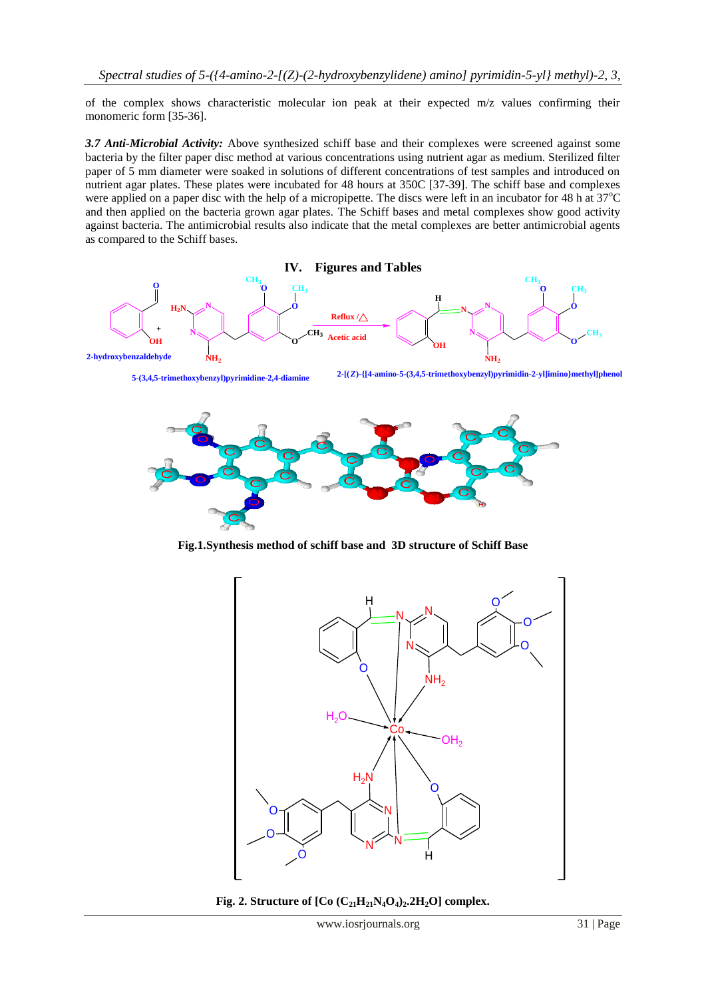of the complex shows characteristic molecular ion peak at their expected m/z values confirming their monomeric form [35-36].

*3.7 Anti-Microbial Activity:* Above synthesized schiff base and their complexes were screened against some bacteria by the filter paper disc method at various concentrations using nutrient agar as medium. Sterilized filter paper of 5 mm diameter were soaked in solutions of different concentrations of test samples and introduced on nutrient agar plates. These plates were incubated for 48 hours at 350C [37-39]. The schiff base and complexes were applied on a paper disc with the help of a micropipette. The discs were left in an incubator for 48 h at 37<sup>o</sup>C and then applied on the bacteria grown agar plates. The Schiff bases and metal complexes show good activity against bacteria. The antimicrobial results also indicate that the metal complexes are better antimicrobial agents as compared to the Schiff bases.



**Fig.1.Synthesis method of schiff base and 3D structure of Schiff Base**



**Fig. 2. Structure of**  $[Co (C_{21}H_{21}N_4O_4)_2.2H_2O]$  **complex.**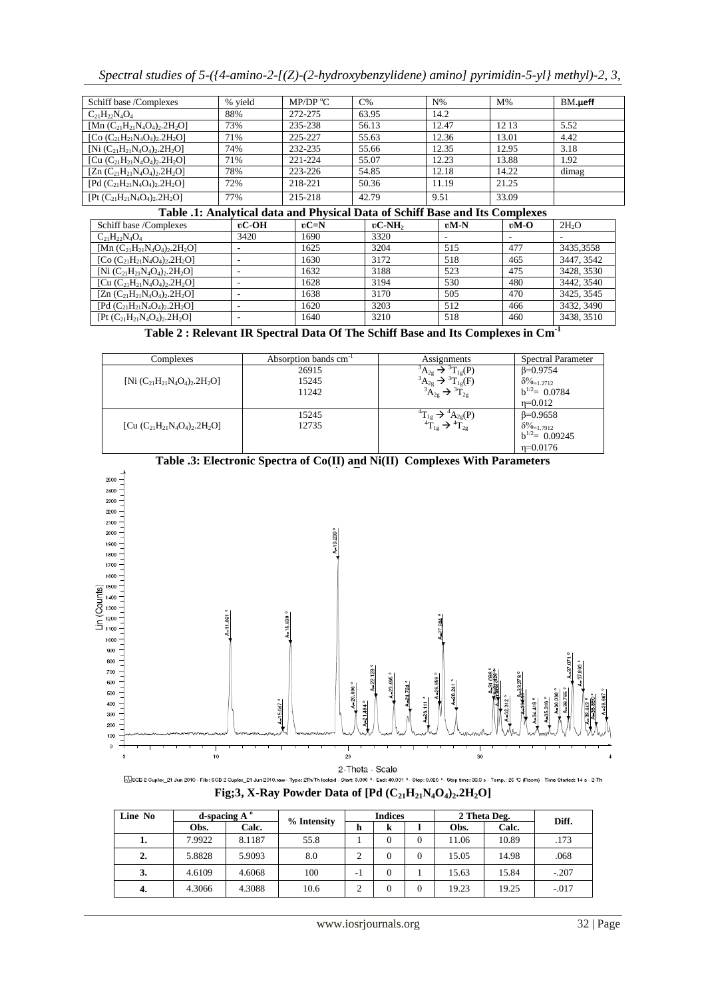| Spectral studies of $5-(4$ -amino-2- $[(Z)-(2-hydroxybenzylidene)$ amino] pyrimidin-5-yl} methyl)-2, 3, |  |  |  |
|---------------------------------------------------------------------------------------------------------|--|--|--|
|                                                                                                         |  |  |  |
|                                                                                                         |  |  |  |

| Schiff base /Complexes               | % yield | MP/DP $\rm{^{\circ}C}$ | $C\%$ | $N\%$ | $M\%$ | $BM.\mu$ eff |
|--------------------------------------|---------|------------------------|-------|-------|-------|--------------|
| $C_{21}H_{22}N_4O_4$                 | 88%     | 272-275                | 63.95 | 14.2  |       |              |
| [Mn $(C_{21}H_{21}N_4O_4)_2.2H_2O$ ] | 73%     | 235-238                | 56.13 | 12.47 | 12 13 | 5.52         |
| [Co $(C_{21}H_{21}N_4O_4)_2.2H_2O$ ] | 71%     | 225-227                | 55.63 | 12.36 | 13.01 | 4.42         |
| [Ni $(C_{21}H_{21}N_4O_4)_2.2H_2O$ ] | 74%     | 232-235                | 55.66 | 12.35 | 12.95 | 3.18         |
| [Cu $(C_{21}H_{21}N_4O_4)_2.2H_2O$ ] | 71%     | 221-224                | 55.07 | 12.23 | 13.88 | 1.92         |
| [Zn $(C_{21}H_{21}N_4O_4)_2.2H_2O$ ] | 78%     | 223-226                | 54.85 | 12.18 | 14.22 | dimag        |
| [Pd $(C_{21}H_{21}N_4O_4)_2.2H_2O$ ] | 72%     | 218-221                | 50.36 | 11.19 | 21.25 |              |
| $[Pt (C_{21}H_{21}N_4O_4)_2.2H_2O]$  | 77%     | 215-218                | 42.79 | 9.51  | 33.09 |              |

## **Table .1: Analytical data and Physical Data of Schiff Base and Its Complexes**

| Schiff base /Complexes               | $\mathfrak{v}$ C-OH | $\nu$ C=N | $\mathfrak{v}$ C-NH <sub>2</sub> | $vM-N$ | $vM-O$ | 2H <sub>2</sub> O |
|--------------------------------------|---------------------|-----------|----------------------------------|--------|--------|-------------------|
| $C_{21}H_{22}N_4O_4$                 | 3420                | 1690      | 3320                             |        |        |                   |
| [Mn $(C_{21}H_{21}N_4O_4)_2.2H_2O$ ] |                     | 1625      | 3204                             | 515    | 477    | 3435,3558         |
| [Co $(C_{21}H_{21}N_4O_4)_2.2H_2O$ ] |                     | 1630      | 3172                             | 518    | 465    | 3447, 3542        |
| [Ni $(C_{21}H_{21}N_4O_4)_2.2H_2O$ ] |                     | 1632      | 3188                             | 523    | 475    | 3428, 3530        |
| [Cu $(C_{21}H_{21}N_4O_4)_2.2H_2O$ ] |                     | 1628      | 3194                             | 530    | 480    | 3442, 3540        |
| $[Zn (C_{21}H_{21}N_4O_4)_2.2H_2O]$  |                     | 1638      | 3170                             | 505    | 470    | 3425, 3545        |
| $[Pd (C_{21}H_{21}N_4O_4)_2.2H_2O]$  |                     | 1620      | 3203                             | 512    | 466    | 3432, 3490        |
| $[Pt (C_{21}H_{21}N_4O_4)_2.2H_2O]$  |                     | 1640      | 3210                             | 518    | 460    | 3438, 3510        |

**Table 2 : Relevant IR Spectral Data Of The Schiff Base and Its Complexes in Cm-1**

| Complexes                            | Absorption bands cm <sup>-1</sup> | Assignments                                                                            | <b>Spectral Parameter</b>                                                      |
|--------------------------------------|-----------------------------------|----------------------------------------------------------------------------------------|--------------------------------------------------------------------------------|
| [Ni $(C_{21}H_{21}N_4O_4)_2.2H_2O$ ] | 26915<br>15245<br>11242           | $T_{1g}(P)$<br>$A_{2g}$<br>$^3A_{2g}$<br>$\Gamma_{1\sigma}(F)$<br>$A_{2g}$<br>$1_{2g}$ | $B=0.9754$<br>$\delta\%$ <sub>=1.2712</sub><br>$b^{1/2} = 0.0784$<br>$n=0.012$ |
| [Cu $(C_{21}H_{21}N_4O_4)_2.2H_2O$ ] | 15245<br>12735                    | $A_{2g}(P)$<br>$1_{2g}$                                                                | $\beta = 0.9658$<br>$\delta\%_{=1.7912}$<br>$b^{1/2}$ = 0.09245<br>$n=0.0176$  |



**Table .3: Electronic Spectra of Co(II) and Ni(II) Complexes With Parameters**

MiSCB 2 Cupler\_21 Jun 2010 - File: SCB 2 Cupler\_21 Jun 2010.raw - Type: 2TIvTh locked - Start: 3.000 °- End: 40.001 °- Step: 0.020 °- Step time: 38.3 s - Temp.: 25 ℃ (Room) - Time Started: 14 s - 2-Th **Fig;3, X-Ray Powder Data of [Pd (C21H21N4O4)2.2H2O]**

| Line No |        |        | d-spacing $A^o$ |        | <b>Indices</b> |          |       | 2 Theta Deg. |         | Diff. |
|---------|--------|--------|-----------------|--------|----------------|----------|-------|--------------|---------|-------|
|         | Obs.   | Calc.  | % Intensity     | h      | ĸ              |          | Obs.  | Calc.        |         |       |
| 1.      | 7.9922 | 8.1187 | 55.8            |        | $\Omega$       | 0        | 11.06 | 10.89        | .173    |       |
| 2.      | 5.8828 | 5.9093 | 8.0             | ◠      | $\theta$       | $\theta$ | 15.05 | 14.98        | .068    |       |
| 3.      | 4.6109 | 4.6068 | 100             | $-1$   | $\theta$       |          | 15.63 | 15.84        | $-.207$ |       |
| 4.      | 4.3066 | 4.3088 | 10.6            | ◠<br>∠ | $\Omega$       | 0        | 19.23 | 19.25        | $-.017$ |       |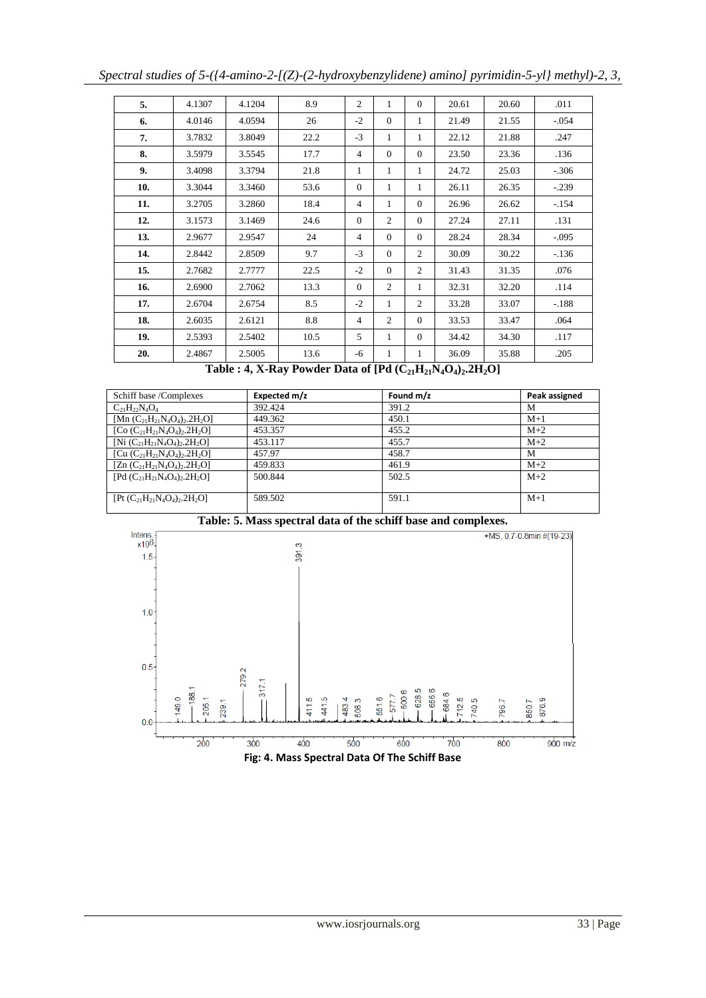| 5.  | 4.1307 | 4.1204 | 8.9  | $\overline{c}$ | 1              | $\Omega$       | 20.61 | 20.60 | .011     |
|-----|--------|--------|------|----------------|----------------|----------------|-------|-------|----------|
| 6.  | 4.0146 | 4.0594 | 26   | $-2$           | $\theta$       | 1              | 21.49 | 21.55 | $-0.054$ |
| 7.  | 3.7832 | 3.8049 | 22.2 | $-3$           | 1              | 1              | 22.12 | 21.88 | .247     |
| 8.  | 3.5979 | 3.5545 | 17.7 | 4              | $\mathbf{0}$   | $\overline{0}$ | 23.50 | 23.36 | .136     |
| 9.  | 3.4098 | 3.3794 | 21.8 | 1              | 1              | 1              | 24.72 | 25.03 | $-306$   |
| 10. | 3.3044 | 3.3460 | 53.6 | $\mathbf{0}$   | 1              | 1              | 26.11 | 26.35 | $-.239$  |
| 11. | 3.2705 | 3.2860 | 18.4 | 4              | 1              | $\Omega$       | 26.96 | 26.62 | $-154$   |
| 12. | 3.1573 | 3.1469 | 24.6 | $\mathbf{0}$   | $\overline{c}$ | $\mathbf{0}$   | 27.24 | 27.11 | .131     |
| 13. | 2.9677 | 2.9547 | 24   | 4              | $\Omega$       | $\Omega$       | 28.24 | 28.34 | $-.095$  |
| 14. | 2.8442 | 2.8509 | 9.7  | $-3$           | $\mathbf{0}$   | 2              | 30.09 | 30.22 | $-136$   |
| 15. | 2.7682 | 2.7777 | 22.5 | $-2$           | $\mathbf{0}$   | 2              | 31.43 | 31.35 | .076     |
| 16. | 2.6900 | 2.7062 | 13.3 | $\overline{0}$ | $\overline{c}$ | 1              | 32.31 | 32.20 | .114     |
| 17. | 2.6704 | 2.6754 | 8.5  | $-2$           | 1              | 2              | 33.28 | 33.07 | $-188$   |
| 18. | 2.6035 | 2.6121 | 8.8  | $\overline{4}$ | $\overline{c}$ | $\mathbf{0}$   | 33.53 | 33.47 | .064     |
| 19. | 2.5393 | 2.5402 | 10.5 | 5              | 1              | $\Omega$       | 34.42 | 34.30 | .117     |
| 20. | 2.4867 | 2.5005 | 13.6 | -6             | 1              | 1              | 36.09 | 35.88 | .205     |

**Table : 4, X-Ray Powder Data of**  $[{\bf P}d (C_{21}H_{21}N_4O_4)_2.2H_2O]$ 

| Schiff base /Complexes               | Expected m/z | Found m/z | Peak assigned |
|--------------------------------------|--------------|-----------|---------------|
| $C_{21}H_{22}N_4O_4$                 | 392.424      | 391.2     | М             |
| [Mn $(C_{21}H_{21}N_4O_4)_2.2H_2O$ ] | 449.362      | 450.1     | $M+1$         |
| [Co $(C_{21}H_{21}N_4O_4)_2.2H_2O$ ] | 453.357      | 455.2     | $M+2$         |
| [Ni $(C_{21}H_{21}N_4O_4)_2.2H_2O$ ] | 453.117      | 455.7     | $M+2$         |
| [Cu $(C_{21}H_{21}N_4O_4)_2.2H_2O$ ] | 457.97       | 458.7     | M             |
| [Zn $(C_{21}H_{21}N_4O_4)_2.2H_2O$ ] | 459.833      | 461.9     | $M+2$         |
| [Pd $(C_{21}H_{21}N_4O_4)_2.2H_2O$ ] | 500.844      | 502.5     | $M+2$         |
|                                      |              |           |               |
| $[Pt (C_{21}H_{21}N_4O_4)_2.2H_2O]$  | 589.502      | 591.1     | $M+1$         |
|                                      |              |           |               |

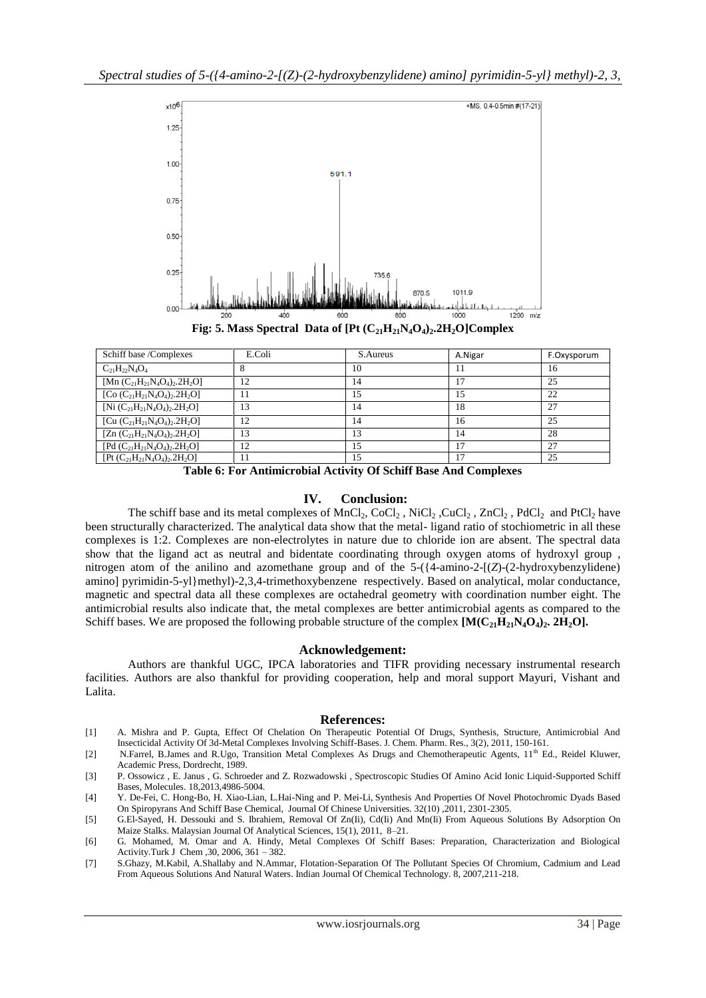

**Fig: 5. Mass Spectral Data of**  $[Pt (C_{21}H_{21}N_4O_4)_2.2H_2O]$ **Complex** 

| Schiff base /Complexes               | E.Coli | S.Aureus | A.Nigar        | F.Oxysporum |
|--------------------------------------|--------|----------|----------------|-------------|
| $C_{21}H_{22}N_4O_4$                 |        | 10       |                | 16          |
| [Mn $(C_{21}H_{21}N_4O_4)_2.2H_2O$ ] | 12     | 14       |                | 25          |
| [Co $(C_{21}H_{21}N_4O_4)_2.2H_2O$ ] | 11     | 15       | 15             | 22          |
| [Ni $(C_{21}H_{21}N_4O_4)_2.2H_2O$ ] | 13     | 14       | 18             | 27          |
| [Cu $(C_{21}H_{21}N_4O_4)_2.2H_2O$ ] | 12     | 14       | 16             | 25          |
| [Zn $(C_{21}H_{21}N_4O_4)_2.2H_2O$ ] | 13     | 13       | 14             | 28          |
| [Pd $(C_{21}H_{21}N_4O_4)_2.2H_2O$ ] | 12     | 15       | $\overline{7}$ | 27          |
| $[Pt (C_{21}H_{21}N_4O_4)_2.2H_2O]$  | 11     | 15       |                | 25          |

**Table 6: For Antimicrobial Activity Of Schiff Base And Complexes**

## **IV. Conclusion:**

The schiff base and its metal complexes of  $MnCl_2$ ,  $CoCl_2$ ,  $NiCl_2$ ,  $CuCl_2$ ,  $ZnCl_2$ ,  $PdCl_2$  and  $PtCl_2$  have been structurally characterized. The analytical data show that the metal- ligand ratio of stochiometric in all these complexes is 1:2. Complexes are non-electrolytes in nature due to chloride ion are absent. The spectral data show that the ligand act as neutral and bidentate coordinating through oxygen atoms of hydroxyl group , nitrogen atom of the anilino and azomethane group and of the 5-({4-amino-2-[(*Z*)-(2-hydroxybenzylidene) amino] pyrimidin-5-yl}methyl)-2,3,4-trimethoxybenzenerespectively. Based on analytical, molar conductance, magnetic and spectral data all these complexes are octahedral geometry with coordination number eight. The antimicrobial results also indicate that, the metal complexes are better antimicrobial agents as compared to the Schiff bases. We are proposed the following probable structure of the complex  $[M(C<sub>21</sub>H<sub>21</sub>N<sub>4</sub>O<sub>4</sub>)$ , 2H<sub>2</sub>Ol.

#### **Acknowledgement:**

Authors are thankful UGC, IPCA laboratories and TIFR providing necessary instrumental research facilities. Authors are also thankful for providing cooperation, help and moral support Mayuri, Vishant and Lalita.

#### **References:**

- [1] A. Mishra and P. Gupta, Effect Of Chelation On Therapeutic Potential Of Drugs, Synthesis, Structure, Antimicrobial And Insecticidal Activity Of 3d-Metal Complexes Involving Schiff-Bases. J. Chem. Pharm. Res., 3(2), 2011, 150-161.
- [2] N.Farrel, B.James and R.Ugo, Transition Metal Complexes As Drugs and Chemotherapeutic Agents, 11<sup>th</sup> Ed., Reidel Kluwer, Academic Press, Dordrecht, 1989.
- [3] P. Ossowicz , E. Janus , G. Schroeder and Z. Rozwadowski , Spectroscopic Studies Of Amino Acid Ionic Liquid-Supported Schiff Bases, Molecules. 18,2013,4986-5004.
- [4] Y. De-Fei, C. Hong-Bo, H. Xiao-Lian, L.Hai-Ning and P. Mei-Li, Synthesis And Properties Of Novel Photochromic Dyads Based On Spiropyrans And Schiff Base [Chemical, Journal Of Chinese Universities.](http://www.cjcu.jlu.edu.cn/) 32(10) [,2011,](http://www.cjcu.jlu.edu.cn/EN/article/showTenYearVolumnDetail.do?nian=2011) 2301-2305.
- [5] G.El-Sayed, H. Dessouki and S. Ibrahiem, Removal Of Zn(Ii), Cd(Ii) And Mn(Ii) From Aqueous Solutions By Adsorption On Maize Stalks. Malaysian Journal Of Analytical Sciences, 15(1), 2011, 8–21.
- [6] G. Mohamed, M. Omar and A. Hindy, Metal Complexes Of Schiff Bases: Preparation, Characterization and Biological Activity.Turk J Chem ,30, 2006, 361 – 382.
- [7] S.Ghazy, M.Kabil, A.Shallaby and N.Ammar, Flotation-Separation Of The Pollutant Species Of Chromium, Cadmium and Lead From Aqueous Solutions And Natural Waters. Indian Journal Of Chemical Technology. 8, 2007,211-218.